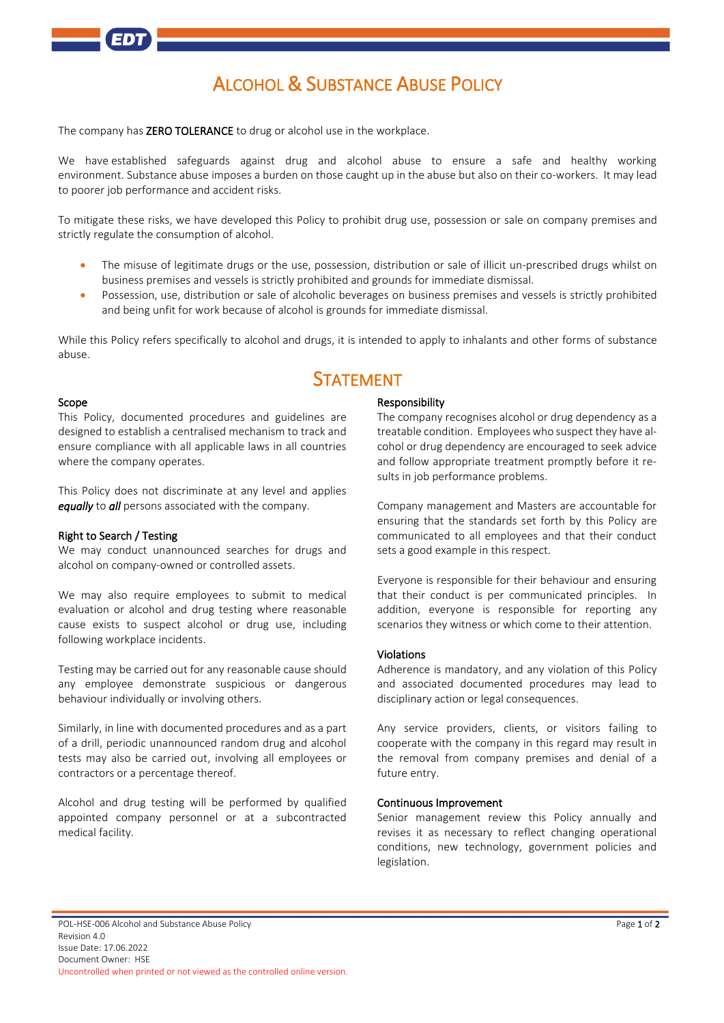

# ALCOHOL & SUBSTANCE ABUSE POLICY

The company has **ZERO TOLERANCE** to drug or alcohol use in the workplace.

We have established safeguards against drug and alcohol abuse to ensure a safe and healthy working environment. Substance abuse imposes a burden on those caught up in the abuse but also on their co-workers. It may lead to poorer job performance and accident risks.

To mitigate these risks, we have developed this Policy to prohibit drug use, possession or sale on company premises and strictly regulate the consumption of alcohol.

- The misuse of legitimate drugs or the use, possession, distribution or sale of illicit un-prescribed drugs whilst on business premises and vessels is strictly prohibited and grounds for immediate dismissal.
- Possession, use, distribution or sale of alcoholic beverages on business premises and vessels is strictly prohibited and being unfit for work because of alcohol is grounds for immediate dismissal.

While this Policy refers specifically to alcohol and drugs, it is intended to apply to inhalants and other forms of substance abuse.

## **STATEMENT**

#### Scope

This Policy, documented procedures and guidelines are designed to establish a centralised mechanism to track and ensure compliance with all applicable laws in all countries where the company operates.

This Policy does not discriminate at any level and applies *equally* to *all* persons associated with the company.

#### Right to Search / Testing

We may conduct unannounced searches for drugs and alcohol on company-owned or controlled assets.

We may also require employees to submit to medical evaluation or alcohol and drug testing where reasonable cause exists to suspect alcohol or drug use, including following workplace incidents.

Testing may be carried out for any reasonable cause should any employee demonstrate suspicious or dangerous behaviour individually or involving others.

Similarly, in line with documented procedures and as a part of a drill, periodic unannounced random drug and alcohol tests may also be carried out, involving all employees or contractors or a percentage thereof.

Alcohol and drug testing will be performed by qualified appointed company personnel or at a subcontracted medical facility.

#### Responsibility

The company recognises alcohol or drug dependency as a treatable condition. Employees who suspect they have alcohol or drug dependency are encouraged to seek advice and follow appropriate treatment promptly before it results in job performance problems.

Company management and Masters are accountable for ensuring that the standards set forth by this Policy are communicated to all employees and that their conduct sets a good example in this respect.

Everyone is responsible for their behaviour and ensuring that their conduct is per communicated principles. In addition, everyone is responsible for reporting any scenarios they witness or which come to their attention.

#### Violations

Adherence is mandatory, and any violation of this Policy and associated documented procedures may lead to disciplinary action or legal consequences.

Any service providers, clients, or visitors failing to cooperate with the company in this regard may result in the removal from company premises and denial of a future entry.

#### Continuous Improvement

Senior management review this Policy annually and revises it as necessary to reflect changing operational conditions, new technology, government policies and legislation.